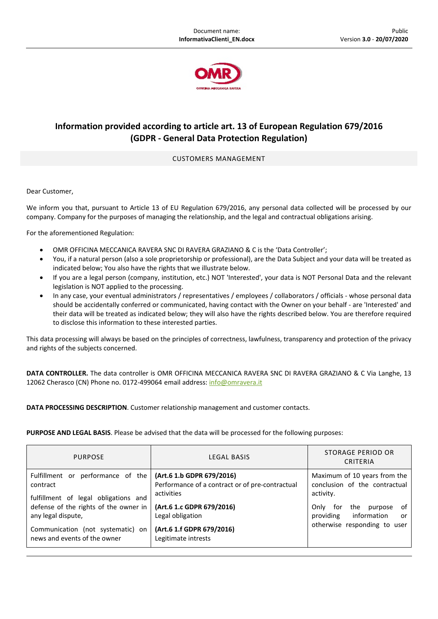

## **Information provided according to article art. 13 of European Regulation 679/2016 (GDPR ‐ General Data Protection Regulation)**

## CUSTOMERS MANAGEMENT

Dear Customer,

We inform you that, pursuant to Article 13 of EU Regulation 679/2016, any personal data collected will be processed by our company. Company for the purposes of managing the relationship, and the legal and contractual obligations arising.

For the aforementioned Regulation:

- OMR OFFICINA MECCANICA RAVERA SNC DI RAVERA GRAZIANO & C is the 'Data Controller';
- You, if a natural person (also a sole proprietorship or professional), are the Data Subject and your data will be treated as indicated below; You also have the rights that we illustrate below.
- If you are a legal person (company, institution, etc.) NOT 'Interested', your data is NOT Personal Data and the relevant legislation is NOT applied to the processing.
- In any case, your eventual administrators / representatives / employees / collaborators / officials ‐ whose personal data should be accidentally conferred or communicated, having contact with the Owner on your behalf ‐ are 'Interested' and their data will be treated as indicated below; they will also have the rights described below. You are therefore required to disclose this information to these interested parties.

This data processing will always be based on the principles of correctness, lawfulness, transparency and protection of the privacy and rights of the subjects concerned.

**DATA CONTROLLER.** The data controller is OMR OFFICINA MECCANICA RAVERA SNC DI RAVERA GRAZIANO & C Via Langhe, 13 12062 Cherasco (CN) Phone no. 0172-499064 email address: info@omravera.it

**DATA PROCESSING DESCRIPTION**. Customer relationship management and customer contacts.

**PURPOSE AND LEGAL BASIS**. Please be advised that the data will be processed for the following purposes:

| <b>PURPOSE</b>                                                                                      | LEGAL BASIS                                                                  | STORAGE PERIOD OR<br>CRITERIA                                                                 |
|-----------------------------------------------------------------------------------------------------|------------------------------------------------------------------------------|-----------------------------------------------------------------------------------------------|
| Fulfillment or performance of the<br>contract                                                       | (Art.6 1.b GDPR 679/2016)<br>Performance of a contract or of pre-contractual | Maximum of 10 years from the<br>conclusion of the contractual                                 |
| fulfillment of legal obligations and<br>defense of the rights of the owner in<br>any legal dispute, | activities<br>(Art.6 1.c GDPR 679/2016)<br>Legal obligation                  | activity.<br>of<br>the<br>Only<br>for<br>purpose<br>information<br>providing<br><sub>or</sub> |
| Communication (not systematic) on<br>news and events of the owner                                   | (Art.6 1.f GDPR 679/2016)<br>Legitimate intrests                             | otherwise responding to user                                                                  |